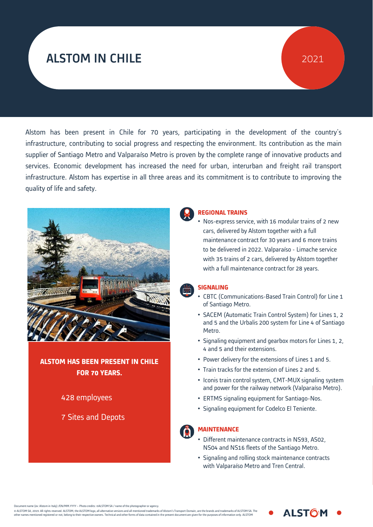# ALSTOM IN CHILE

# 2021

Alstom has been present in Chile for 70 years, participating in the development of the country's infrastructure, contributing to social progress and respecting the environment. Its contribution as the main supplier of Santiago Metro and Valparaíso Metro is proven by the complete range of innovative products and services. Economic development has increased the need for urban, interurban and freight rail transport infrastructure. Alstom has expertise in all three areas and its commitment is to contribute to improving the quality of life and safety.



## **ALSTOM HAS BEEN PRESENT IN CHILE FOR 70 YEARS.**

### 428 employees

7 Sites and Depots



#### **REGIONAL TRAINS**

• Nos-express service, with 16 modular trains of 2 new cars, delivered by Alstom together with a full maintenance contract for 30 years and 6 more trains to be delivered in 2022. Valparaíso - Limache service with 35 trains of 2 cars, delivered by Alstom together with a full maintenance contract for 28 years.

#### **SIGNALING**

- CBTC (Communications-Based Train Control) for Line 1 of Santiago Metro.
- SACEM (Automatic Train Control System) for Lines 1, 2 and 5 and the Urbalis 200 system for Line 4 of Santiago Metro.
- Signaling equipment and gearbox motors for Lines 1, 2, 4 and 5 and their extensions.
- Power delivery for the extensions of Lines 1 and 5.
- Train tracks for the extension of Lines 2 and 5.
- Iconis train control system, CMT-MUX signaling system and power for the railway network (Valparaíso Metro).
- ERTMS signaling equipment for Santiago-Nos.
- Signaling equipment for Codelco El Teniente.

#### **MAINTENANCE**

- Different maintenance contracts in NS93, AS02, NS04 and NS16 fleets of the Santiago Metro.  $\mathcal{P}_1$  ,  $\mathcal{P}_2$  1  $\mathcal{P}_3$  1  $\mathcal{P}_4$  1  $\mathcal{P}_5$  1  $\mathcal{P}_6$  1  $\mathcal{P}_7$  1  $\mathcal{P}_8$  1  $\mathcal{P}_9$  1  $\mathcal{P}_9$  1  $\mathcal{P}_9$  1  $\mathcal{P}_9$  1  $\mathcal{P}_9$  1  $\mathcal{P}_9$  1  $\mathcal{P}_9$  1  $\mathcal{P}_9$  1  $\mathcal{P}_9$  1  $\mathcal{P}_9$  1  $\mathcal{$
- **•** Signaling and rolling stock maintenance contracts with Valparaíso Metro and Tren Central.

**ALSTOM** 

ne (ex: Alstom in Italy) /EN/MM.YYYY – Photo credits: ©ALSTOM SA / name of the photographer or agency

© ALSTOM SA, 2019. All rights reserved. ALSTOM, the ALSTOM logo, all alternative versions and all mentioned trademarks of Alstom's Transport Domain, are the brands and trademarks of ALSTOM SA. The<br>other names mentioned reg